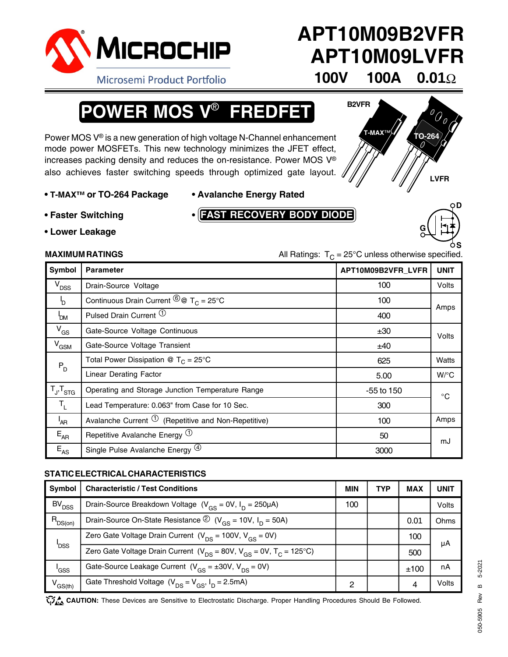

# **APT10M09B2VFR APT10M09LVFR**

**T-MAX**™ **TO-264**

Microsemi Product Portfolio

# **100V 100A 0.01**Ω

**B2VFR**

# **POWER MOS V**® **FREDFET**

Power MOS V® is a new generation of high voltage N-Channel enhancement mode power MOSFETs. This new technology minimizes the JFET effect, increases packing density and reduces the on-resistance. Power MOS V® also achieves faster switching speeds through optimized gate layout.

- **• T-MAX™ or TO-264 Package Avalanche Energy Rated**
- 

**• Faster Switching •**

**FAST RECOVERY BODY DIODE**



**LVFR**

**• Lower Leakage**

**MAXIMUM RATINGS** MAXIMUM RATINGS **All Ratings:**  $T<sub>C</sub> = 25<sup>°</sup>C$  unless otherwise specified.

| <b>Symbol</b>       | <b>Parameter</b>                                                                                    | APT10M09B2VFR_LVFR | <b>UNIT</b>        |
|---------------------|-----------------------------------------------------------------------------------------------------|--------------------|--------------------|
| V <sub>DSS</sub>    | Drain-Source Voltage                                                                                | 100                | Volts              |
| b                   | Continuous Drain Current $\stackrel{\textcircled{\textcirc}}{\circ}$ $\sigma$ T <sub>C</sub> = 25°C | 100                | Amps               |
| <b>POM</b>          | Pulsed Drain Current <sup>1</sup>                                                                   | 400                |                    |
| $V_{GS}$            | Gate-Source Voltage Continuous                                                                      | ±30                | Volts              |
| $V_{GSM}$           | Gate-Source Voltage Transient                                                                       | ±40                |                    |
| $P_D$               | Total Power Dissipation @ $T_c = 25^{\circ}$ C                                                      | 625                | Watts              |
|                     | <b>Linear Derating Factor</b>                                                                       | 5.00               | $W$ <sup>o</sup> C |
| $T_{J}$ , $T_{STG}$ | Operating and Storage Junction Temperature Range                                                    | -55 to 150         | $^{\circ}$ C       |
| $T_1$               | Lead Temperature: 0.063" from Case for 10 Sec.                                                      | 300                |                    |
| <sup>I</sup> AR     | Avalanche Current $\overline{1}$ (Repetitive and Non-Repetitive)                                    | 100                | Amps               |
| $E_{AR}$            | Repetitive Avalanche Energy $\Phi$                                                                  | 50                 | mJ                 |
| $E_{AS}$            | Single Pulse Avalanche Energy <sup>(4)</sup>                                                        | 3000               |                    |

### **STATIC ELECTRICAL CHARACTERISTICS**

| Symbol                  | <b>Characteristic / Test Conditions</b>                                                      | <b>MIN</b> | TYP | <b>MAX</b> | UNIT  |
|-------------------------|----------------------------------------------------------------------------------------------|------------|-----|------------|-------|
| BV <sub>DSS</sub>       | Drain-Source Breakdown Voltage $(V_{BS} = 0V, I_D = 250 \mu A)$                              | 100        |     |            | Volts |
| $R_{DS(on)}$            | Drain-Source On-State Resistance $\circled{2}$ (V <sub>GS</sub> = 10V, I <sub>D</sub> = 50A) |            |     | 0.01       | Ohms  |
| <b>I</b> <sub>DSS</sub> | Zero Gate Voltage Drain Current $(V_{DS} = 100V, V_{GS} = 0V)$                               |            |     | 100        | μA    |
|                         | Zero Gate Voltage Drain Current ( $V_{DS}$ = 80V, $V_{GS}$ = 0V, $T_C$ = 125°C)              |            |     | 500        |       |
| 'GSS                    | Gate-Source Leakage Current $(V_{cs} = \pm 30V, V_{DS} = 0V)$                                |            |     | ±100       | nA    |
| V <sub>GS(th)</sub>     | Gate Threshold Voltage $(V_{DS} = V_{GS}, I_D = 2.5mA)$                                      | 2          |     | 4          | Volts |

CAUTION: These Devices are Sensitive to Electrostatic Discharge. Proper Handling Procedures Should Be Followed.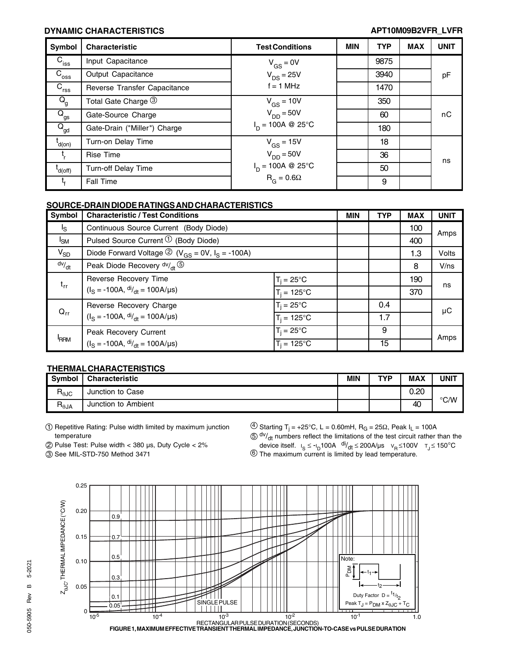### **DYNAMIC CHARACTERISTICS APT10M09B2VFR\_LVFR**

| Symbol                                | <b>Characteristic</b>        | <b>Test Conditions</b>           | <b>MIN</b> | <b>TYP</b> | <b>MAX</b> | <b>UNIT</b> |
|---------------------------------------|------------------------------|----------------------------------|------------|------------|------------|-------------|
| $C_{\text{iss}}$                      | Input Capacitance            | $V_{GS} = 0V$                    |            | 9875       |            |             |
| $C_{\rm{oss}}$                        | Output Capacitance           | $V_{DS}$ = 25V                   |            | 3940       |            | pF          |
| $\overline{C}_{\text{rss}}$           | Reverse Transfer Capacitance | $f = 1$ MHz                      |            | 1470       |            |             |
| $Q_{\rm g}$                           | Total Gate Charge 3          | $V_{GS}$ = 10V                   |            | 350        |            |             |
| $Q_{gs}$                              | Gate-Source Charge           | $V_{DD} = 50V$                   |            | 60         |            | пC          |
| $\overline{\mathsf{Q}}_{\mathsf{gd}}$ | Gate-Drain ("Miller") Charge | $I_n = 100A \otimes 25^{\circ}C$ |            | 180        |            |             |
| $L$ d(on)                             | Turn-on Delay Time           | $V_{GS}$ = 15V                   |            | 18         |            |             |
| t,                                    | <b>Rise Time</b>             | $V_{DD} = 50V$                   |            | 36         |            | ns          |
| $'$ d(off)                            | Turn-off Delay Time          | $I_D = 100A \otimes 25^{\circ}C$ |            | 50         |            |             |
| Ч.                                    | <b>Fall Time</b>             | $R_G = 0.6\Omega$                |            | 9          |            |             |

### **SOURCE-DRAIN DIODE RATINGS AND CHARACTERISTICS**

| Symbol         | <b>Characteristic / Test Conditions</b>                                                |                      | <b>MIN</b> | <b>TYP</b> | <b>MAX</b> | <b>UNIT</b> |
|----------------|----------------------------------------------------------------------------------------|----------------------|------------|------------|------------|-------------|
| <sup>1</sup> S | Continuous Source Current (Body Diode)                                                 |                      |            |            | 100        | Amps        |
| $I_{SM}$       | Pulsed Source Current $\mathcal{D}$ (Body Diode)                                       |                      |            |            | 400        |             |
| $V_{SD}$       | Diode Forward Voltage $\textcircled{2}$ (V <sub>GS</sub> = 0V, I <sub>S</sub> = -100A) |                      |            |            | 1.3        | Volts       |
| dv/dt          | Peak Diode Recovery $dv/dt$                                                            |                      |            |            | 8          | V/ns        |
| $t_{rr}$       | Reverse Recovery Time                                                                  | $T_i = 25^{\circ}C$  |            |            | 190        |             |
|                | $(IS = -100A, \frac{di}{dt} = 100A/\mu s)$                                             | $T_i = 125^{\circ}C$ |            |            | 370        | ns          |
| $Q_{rr}$       | Reverse Recovery Charge                                                                | $T_i = 25^{\circ}C$  |            | 0.4        |            | μC          |
|                | $(IS = -100A, \frac{di}{dt} = 100A/\mu s)$                                             | $T_i = 125^{\circ}C$ |            | 1.7        |            |             |
| <b>RRM</b>     | Peak Recovery Current<br>$(IS = -100A, dIdt = 100A/µs)$                                | $T_i = 25^{\circ}C$  |            | 9          |            | Amps        |
|                |                                                                                        | $T_i = 125^{\circ}C$ |            | 15         |            |             |

### **THERMAL CHARACTERISTICS**

| <b>Symbol</b>                     | <b>Characteristic</b>  | MIN | TVD | MAX  | <b>UNIT</b> |
|-----------------------------------|------------------------|-----|-----|------|-------------|
| $R_{\theta$ JC                    | Junction to Case       |     |     | 0.20 |             |
| $\mathsf{R}_{\theta \mathsf{JA}}$ | Ambient<br>Junction to |     |     | 40   | °C/W        |

- 1 Repetitive Rating: Pulse width limited by maximum junction temperature
- 2 Pulse Test: Pulse width < 380 µs, Duty Cycle < 2%

3 See MIL-STD-750 Method 3471

 $\overline{4}$  Starting T<sub>j</sub> = +25°C, L = 0.60mH, R<sub>G</sub> = 25 $\Omega$ , Peak I<sub>L</sub> = 100A

 $50$  dv/ $_{\text{dt}}$  numbers reflect the limitations of the test circuit rather than the device itself.  $I_S \le -I_D 100A^{-d/2}dt \le 200A/\mu s$   $V_R \le 100V$   $T_J \le 150^{\circ}C$ 

 $6$  The maximum current is limited by lead temperature.

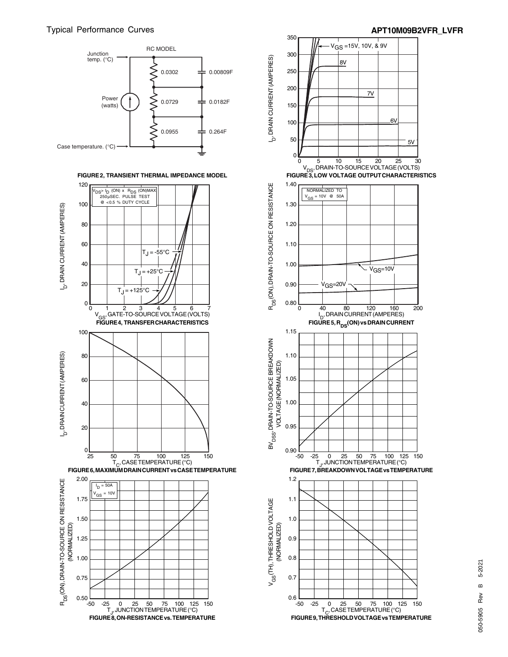



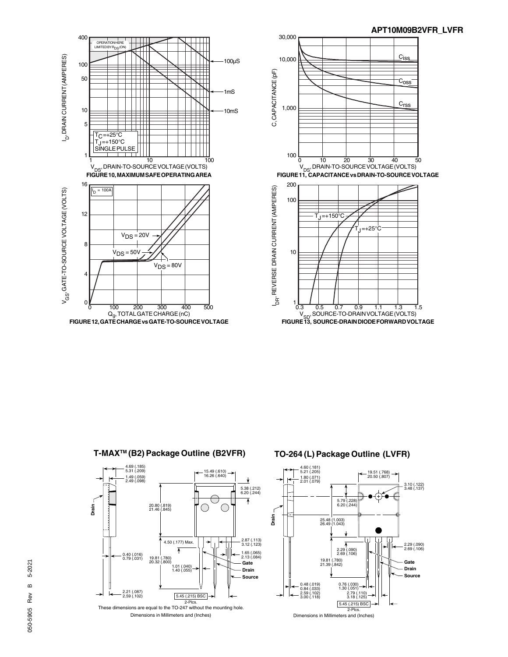

4.69 (.185) 5.31 (.209)